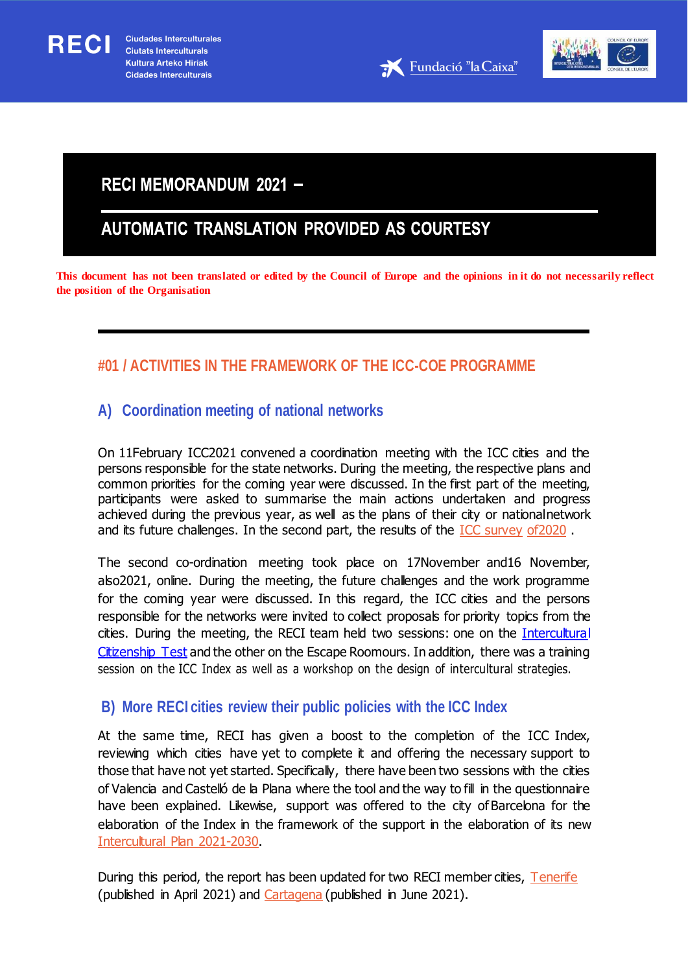RECI



# **RECI MEMORANDUM 2021 -**

# AUTOMATIC TRANSLATION PROVIDED AS COURTESY

**This document has not been translated or edited by the Council of Europe and the opinions in it do not necessarily reflect the position of the Organisation**

# **#01 / ACTIVITIES IN THE FRAMEWORK OF THE ICC-COE PROGRAMME**

# **A) Coordination meeting of national networks**

On 11February ICC2021 convened a coordination meeting with the ICC cities and the persons responsible for the state networks. During the meeting, the respective plans and common priorities for the coming year were discussed. In the first part of the meeting, participants were asked to summarise the main actions undertaken and progress achieved during the previous year, as well as the plans of their city or nationalnetwork and its future challenges. In the second part, the results of the **ICC** survey of 2020.

The second co-ordination meeting took place on 17November and16 November, also2021, online. During the meeting, the future challenges and the work programme for the coming year were discussed. In this regard, the ICC cities and the persons responsible for the networks were invited to collect proposals for priority topics from the cities. During the meeting, the RECI team held two sessions: one on the *Intercultural* [Citizenship](https://www.coe.int/en/web/interculturalcities/icc-test) Test and the other on the Escape Roomours. In addition, there was a training session on the ICC Index as well as a workshop on the design of intercultural strategies.

# **B) More RECI cities review their public policies with the ICC Index**

At the same time, RECI has given a boost to the completion of the ICC Index, reviewing which cities have yet to complete it and offering the necessary support to those that have not yet started. Specifically, there have been two sessions with the cities of Valencia and Castelló de la Plana where the tool and the way to fill in the questionnaire have been explained. Likewise, support was offered to the city of Barcelona for the elaboration of the Index in the framework of the support in the elaboration of its new [Intercultural](https://ajuntament.barcelona.cat/bcnacciointercultural/sites/default/files/documentos/bcn_castella_web.pdf) Plan 2021-2030.

During this period, the report has been updated for two RECI member cities, [Tenerife](https://rm.coe.int/tenerife-spain-results-of-the-icc-index-april-2021/1680a24685) (published in April 2021) and [Cartagena](https://rm.coe.int/icc-index-results-of-cartagena-spain-3rd-report-june-2021/1680a30334) (published in June 2021).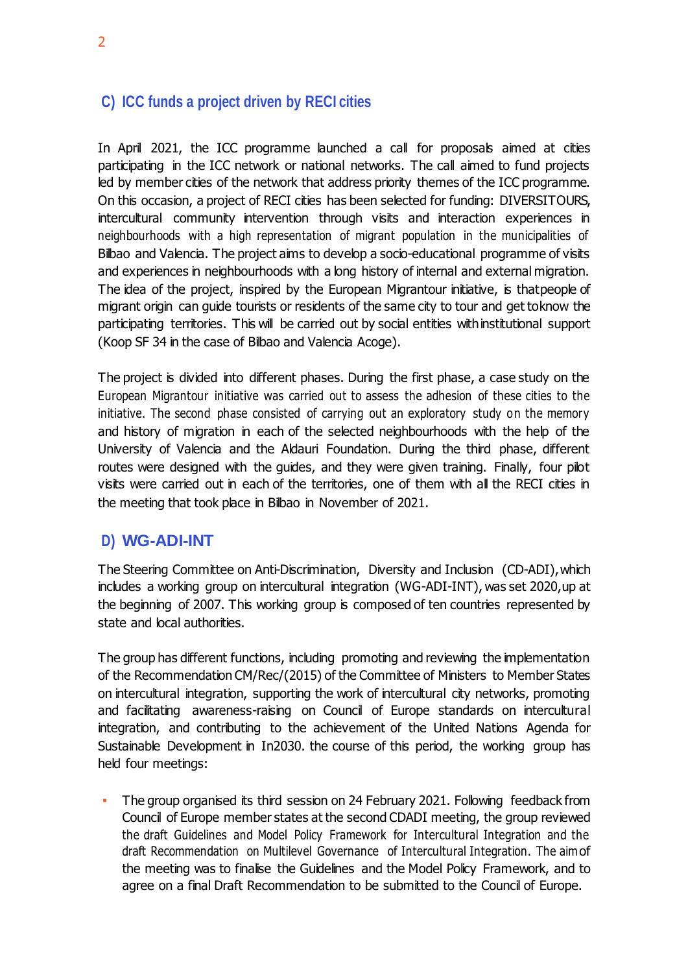## **C) ICC funds a project driven by RECI cities**

In April 2021, the ICC programme launched a call for proposals aimed at cities participating in the ICC network or national networks. The call aimed to fund projects led by member cities of the network that address priority themes of the ICC programme. On this occasion, a project of RECI cities has been selected for funding: DIVERSITOURS, intercultural community intervention through visits and interaction experiences in neighbourhoods with a high representation of migrant population in the municipalities of Bilbao and Valencia. The project aims to develop a socio-educational programme of visits and experiences in neighbourhoods with a long history of internal and external migration. The idea of the project, inspired by the European Migrantour initiative, is that people of migrant origin can guide tourists or residents of the same city to tour and get toknow the participating territories. This will be carried out by social entities withinstitutional support (Koop SF 34 in the case of Bilbao and Valencia Acoge).

The project is divided into different phases. During the first phase, a case study on the European Migrantour initiative was carried out to assess the adhesion of these cities to the initiative. The second phase consisted of carrying out an exploratory study on the memory and history of migration in each of the selected neighbourhoods with the help of the University of Valencia and the Aldauri Foundation. During the third phase, different routes were designed with the guides, and they were given training. Finally, four pilot visits were carried out in each of the territories, one of them with all the RECI cities in the meeting that took place in Bilbao in November of 2021.

### **D) WG-ADI-INT**

The Steering Committee on Anti-Discrimination, Diversity and Inclusion (CD-ADI),which includes a working group on intercultural integration (WG-ADI-INT), was set 2020,up at the beginning of 2007. This working group is composed of ten countries represented by state and local authorities.

The group has different functions, including promoting and reviewing the implementation of the Recommendation CM/Rec/(2015) of the Committee of Ministers to Member States on intercultural integration, supporting the work of intercultural city networks, promoting and facilitating awareness-raising on Council of Europe standards on intercultural integration, and contributing to the achievement of the United Nations Agenda for Sustainable Development in In2030. the course of this period, the working group has held four meetings:

▪ The group organised its third session on 24 February 2021. Following feedback from Council of Europe member states at the second CDADI meeting, the group reviewed the draft Guidelines and Model Policy Framework for Intercultural Integration and the draft Recommendation on Multilevel Governance of Intercultural Integration. The aim of the meeting was to finalise the Guidelines and the Model Policy Framework, and to agree on a final Draft Recommendation to be submitted to the Council of Europe.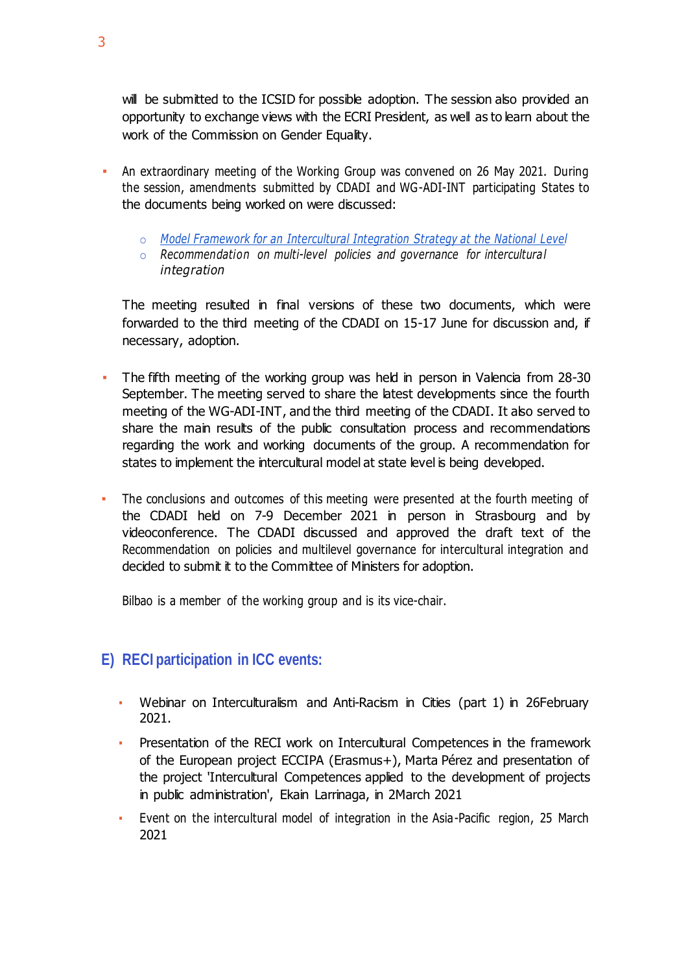will be submitted to the ICSID for possible adoption. The session also provided an opportunity to exchange views with the ECRI President, as well as to learn about the work of the Commission on Gender Equality.

- An extraordinary meeting of the Working Group was convened on 26 May 2021. During the session, amendments submitted by CDADI and WG-ADI-INT participating States to the documents being worked on were discussed:
	- o *Model Framework [for an Intercultural Integration](https://rm.coe.int/prems-093421-gbr-2555-intercultural-integration-strategies-cdadi-web-a/1680a476bd) Strategy at the National Level*
	- o *Recommendation on multi-level policies and governance for intercultural integration*

The meeting resulted in final versions of these two documents, which were forwarded to the third meeting of the CDADI on 15-17 June for discussion and, if necessary, adoption.

- The fifth meeting of the working group was held in person in Valencia from 28-30 September. The meeting served to share the latest developments since the fourth meeting of the WG-ADI-INT, and the third meeting of the CDADI. It also served to share the main results of the public consultation process and recommendations regarding the work and working documents of the group. A recommendation for states to implement the intercultural model at state level is being developed.
- The conclusions and outcomes of this meeting were presented at the fourth meeting of the CDADI held on 7-9 December 2021 in person in Strasbourg and by videoconference. The CDADI discussed and approved the draft text of the Recommendation on policies and multilevel governance for intercultural integration and decided to submit it to the Committee of Ministers for adoption.

Bilbao is a member of the working group and is its vice-chair.

# **E) RECI participation in ICC events:**

- Webinar on Interculturalism and Anti-Racism in Cities (part 1) in 26February 2021.
- Presentation of the RECI work on Intercultural Competences in the framework of the European project ECCIPA (Erasmus+), Marta Pérez and presentation of the project 'Intercultural Competences applied to the development of projects in public administration', Ekain Larrinaga, in 2March 2021
- Event on the intercultural model of integration in the Asia-Pacific region, 25 March 2021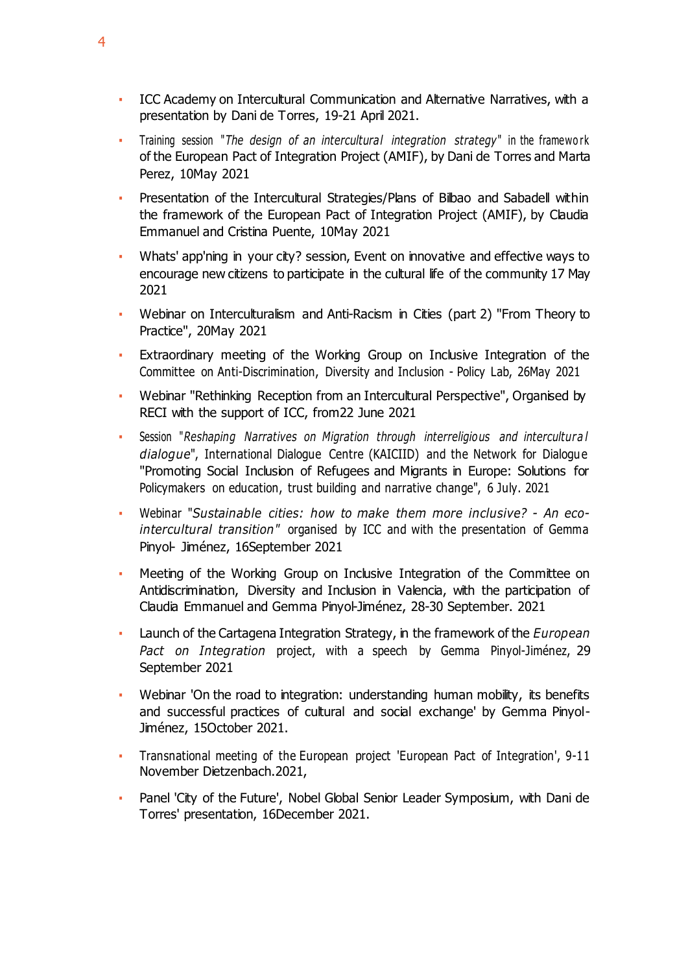- **EXEC Academy on Intercultural Communication and Alternative Narratives, with a** presentation by Dani de Torres, 19-21 April 2021.
- Training session "*The design of an intercultural integration strategy*" in the framewo rk of the European Pact of Integration Project (AMIF), by Dani de Torres and Marta Perez, 10May 2021
- Presentation of the Intercultural Strategies/Plans of Bilbao and Sabadell within the framework of the European Pact of Integration Project (AMIF), by Claudia Emmanuel and Cristina Puente, 10May 2021
- Whats' app'ning in your city? session, Event on innovative and effective ways to encourage new citizens to participate in the cultural life of the community 17 May 2021
- Webinar on Interculturalism and Anti-Racism in Cities (part 2) "From Theory to Practice", 20May 2021
- Extraordinary meeting of the Working Group on Inclusive Integration of the Committee on Anti-Discrimination, Diversity and Inclusion - Policy Lab, 26May 2021
- Webinar "Rethinking Reception from an Intercultural Perspective", Organised by RECI with the support of ICC, from22 June 2021
- Session "*Reshaping Narratives on Migration through interreligious and intercultura l dialogue*", International Dialogue Centre (KAICIID) and the Network for Dialogue "Promoting Social Inclusion of Refugees and Migrants in Europe: Solutions for Policymakers on education, trust building and narrative change", 6 July. 2021
- Webinar "*Sustainable cities: how to make them more inclusive? - An ecointercultural transition"* organised by ICC and with the presentation of Gemma Pinyol- Jiménez, 16September 2021
- Meeting of the Working Group on Inclusive Integration of the Committee on Antidiscrimination, Diversity and Inclusion in Valencia, with the participation of Claudia Emmanuel and Gemma Pinyol-Jiménez, 28-30 September. 2021
- Launch of the Cartagena Integration Strategy, in the framework of the *European Pact on Integration* project, with a speech by Gemma Pinyol-Jiménez, 29 September 2021
- Webinar 'On the road to integration: understanding human mobility, its benefits and successful practices of cultural and social exchange' by Gemma Pinyol-Jiménez, 15October 2021.
- Transnational meeting of the European project 'European Pact of Integration', 9-11 November Dietzenbach.2021,
- Panel 'City of the Future', Nobel Global Senior Leader Symposium, with Dani de Torres' presentation, 16December 2021.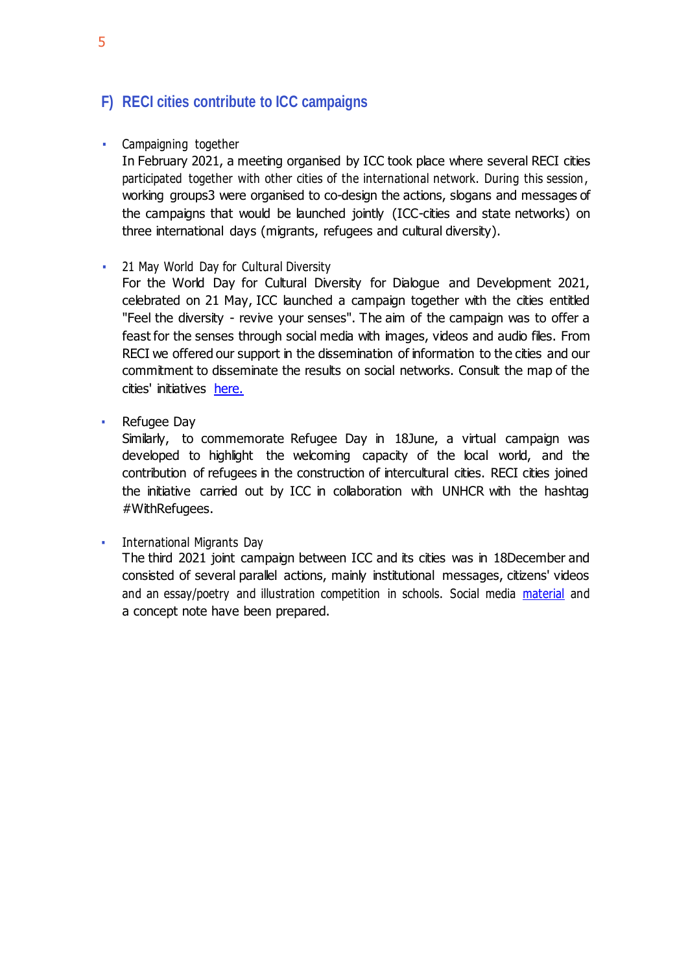# **F) RECI cities contribute to ICC campaigns**

### **•** Campaigning together

In February 2021, a meeting organised by ICC took place where several RECI cities participated together with other cities of the international network. During this session, working groups3 were organised to co-design the actions, slogans and messages of the campaigns that would be launched jointly (ICC-cities and state networks) on three international days (migrants, refugees and cultural diversity).

### **• 21 May World Day for Cultural Diversity**

For the World Day for Cultural Diversity for Dialogue and Development 2021, celebrated on 21 May, ICC launched a campaign together with the cities entitled "Feel the diversity - revive your senses". The aim of the campaign was to offer a feast for the senses through social media with images, videos and audio files. From RECI we offered our support in the dissemination of information to the cities and our commitment to disseminate the results on social networks. Consult the map of the cities' initiatives [here.](https://www.coe.int/en/web/interculturalcities/world-day-for-cultural-diversity-for-dialogue-and-development-2021)

■ Refugee Day

Similarly, to commemorate Refugee Day in 18June, a virtual campaign was developed to highlight the welcoming capacity of the local world, and the contribution of refugees in the construction of intercultural cities. RECI cities joined the initiative carried out by ICC in collaboration with UNHCR with the hashtag #WithRefugees.

**•** International Migrants Day The third 2021 joint campaign between ICC and its cities was in 18December and consisted of several parallel actions, mainly institutional messages, citizens' videos and an essay/poetry and illustration competition in schools. Social media [material](https://www.coe.int/en/web/interculturalcities/joint-campaigns#%7B%2298979888%22%3A%5B2%5D%7D) and a concept note have been prepared.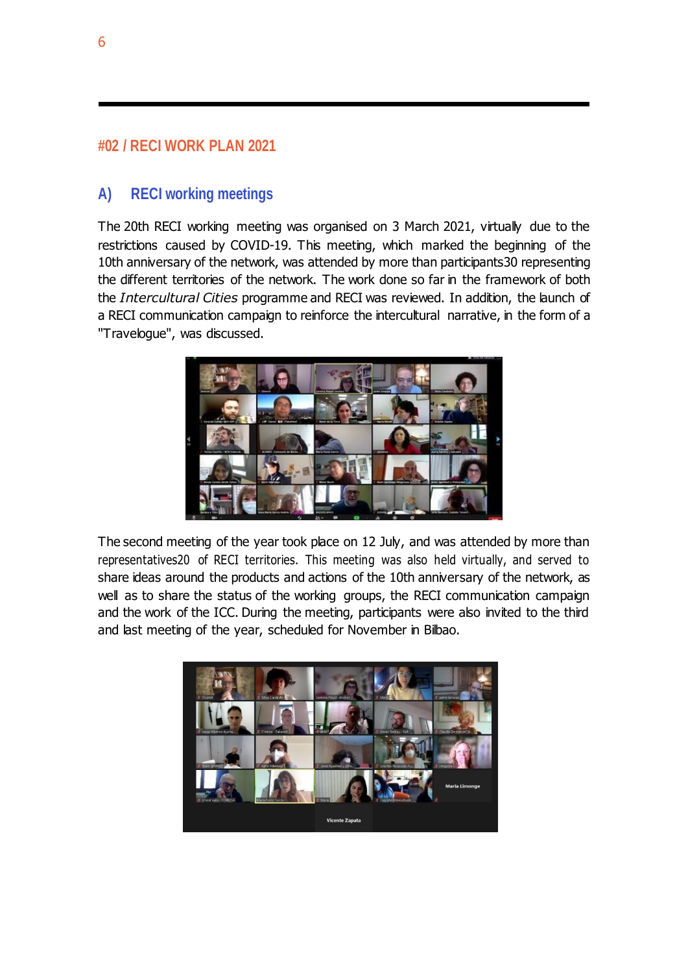# **#02 / RECI WORK PLAN 2021**

# **A) RECI working meetings**

The 20th RECI working meeting was organised on 3 March 2021, virtually due to the restrictions caused by COVID-19. This meeting, which marked the beginning of the 10th anniversary of the network, was attended by more than participants30 representing the different territories of the network. The work done so far in the framework of both the *Intercultural Cities* programme and RECI was reviewed. In addition, the launch of a RECI communication campaign to reinforce the intercultural narrative, in the form of a "Travelogue", was discussed.



The second meeting of the year took place on 12 July, and was attended by more than representatives20 of RECI territories. This meeting was also held virtually, and served to share ideas around the products and actions of the 10th anniversary of the network, as well as to share the status of the working groups, the RECI communication campaign and the work of the ICC. During the meeting, participants were also invited to the third and last meeting of the year, scheduled for November in Bilbao.

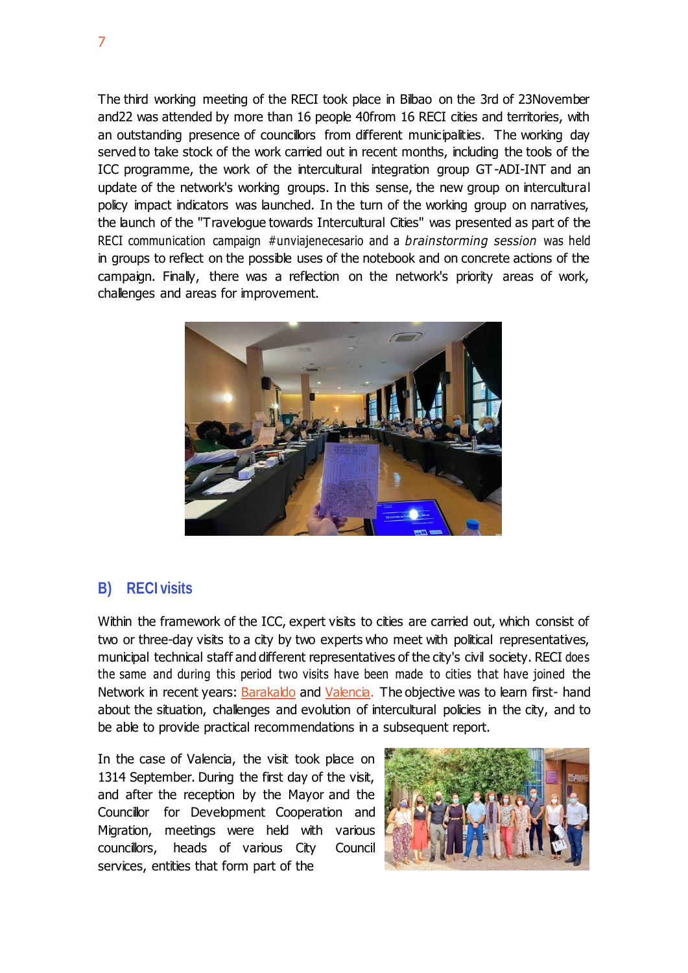The third working meeting of the RECI took place in Bilbao on the 3rd of 23November and22 was attended by more than 16 people 40from 16 RECI cities and territories, with an outstanding presence of councillors from different municipalities. The working day served to take stock of the work carried out in recent months, including the tools of the ICC programme, the work of the intercultural integration group GT -ADI-INT and an update of the network's working groups. In this sense, the new group on intercultural policy impact indicators was launched. In the turn of the working group on narratives, the launch of the "Travelogue towards Intercultural Cities" was presented as part of the RECI communication campaign #unviajenecesario and a *brainstorming session* was held in groups to reflect on the possible uses of the notebook and on concrete actions of the campaign. Finally, there was a reflection on the network's priority areas of work, challenges and areas for improvement.



### **B) RECI visits**

Within the framework of the ICC, expert visits to cities are carried out, which consist of two or three-day visits to a city by two experts who meet with political representatives, municipal technical staff and different representatives of the city's civil society. RECI does the same and during this period two visits have been made to cities that have joined the Network in recent years: [Barakaldo](https://www.ciudadesinterculturales.com/portfolio/barakaldo/) and [Valencia.](https://www.ciudadesinterculturales.com/portfolio/valencia/) The objective was to learn first- hand about the situation, challenges and evolution of intercultural policies in the city, and to be able to provide practical recommendations in a subsequent report.

In the case of Valencia, the visit took place on 1314 September. During the first day of the visit, and after the reception by the Mayor and the Councillor for Development Cooperation and Migration, meetings were held with various councillors, heads of various City Council services, entities that form part of the

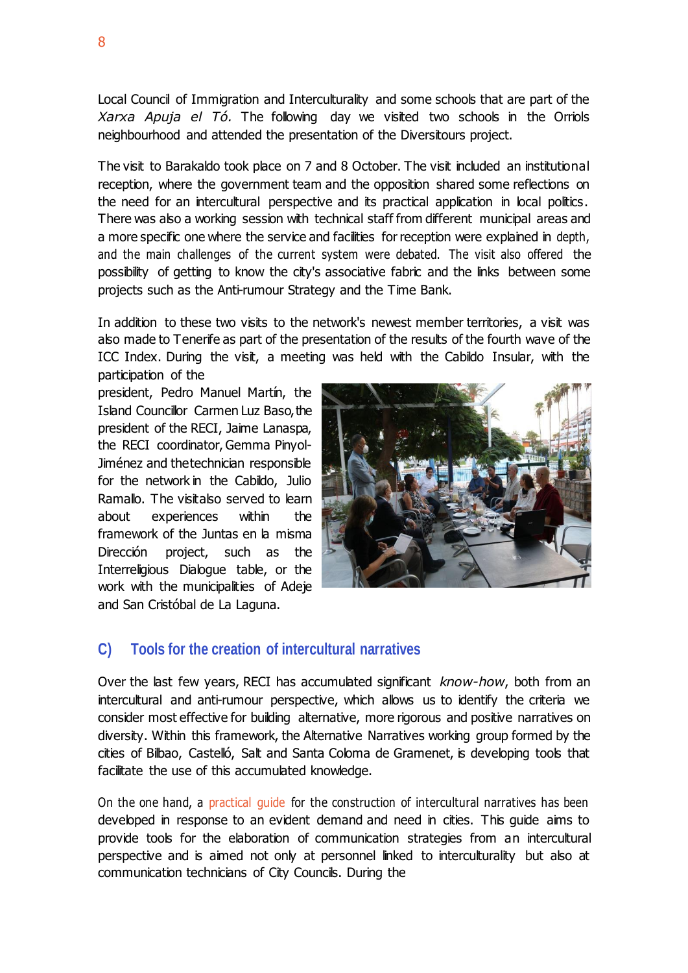Local Council of Immigration and Interculturality and some schools that are part of the *Xarxa Apuja el Tó.* The following day we visited two schools in the Orriols neighbourhood and attended the presentation of the Diversitours project.

The visit to Barakaldo took place on 7 and 8 October. The visit included an institutional reception, where the government team and the opposition shared some reflections on the need for an intercultural perspective and its practical application in local politics. There was also a working session with technical staff from different municipal areas and a more specific one where the service and facilities for reception were explained in depth, and the main challenges of the current system were debated. The visit also offered the possibility of getting to know the city's associative fabric and the links between some projects such as the Anti-rumour Strategy and the Time Bank.

In addition to these two visits to the network's newest member territories, a visit was also made to Tenerife as part of the presentation of the results of the fourth wave of the ICC Index. During the visit, a meeting was held with the Cabildo Insular, with the participation of the

president, Pedro Manuel Martín, the Island Councillor Carmen Luz Baso, the president of the RECI, Jaime Lanaspa, the RECI coordinator, Gemma Pinyol-Jiménez and thetechnician responsible for the network in the Cabildo, Julio Ramallo. The visitalso served to learn about experiences within the framework of the Juntas en la misma Dirección project, such as the Interreligious Dialogue table, or the work with the municipalities of Adeje and San Cristóbal de La Laguna.



### **C) Tools for the creation of intercultural narratives**

Over the last few years, RECI has accumulated significant *know-how*, both from an intercultural and anti-rumour perspective, which allows us to identify the criteria we consider most effective for building alternative, more rigorous and positive narratives on diversity. Within this framework, the Alternative Narratives working group formed by the cities of Bilbao, Castelló, Salt and Santa Coloma de Gramenet, is developing tools that facilitate the use of this accumulated knowledge.

On the one hand, a practical guide for the construction of intercultural narratives has been developed in response to an evident demand and need in cities. This guide aims to provide tools for the elaboration of communication strategies from an intercultural perspective and is aimed not only at personnel linked to interculturality but also at communication technicians of City Councils. During the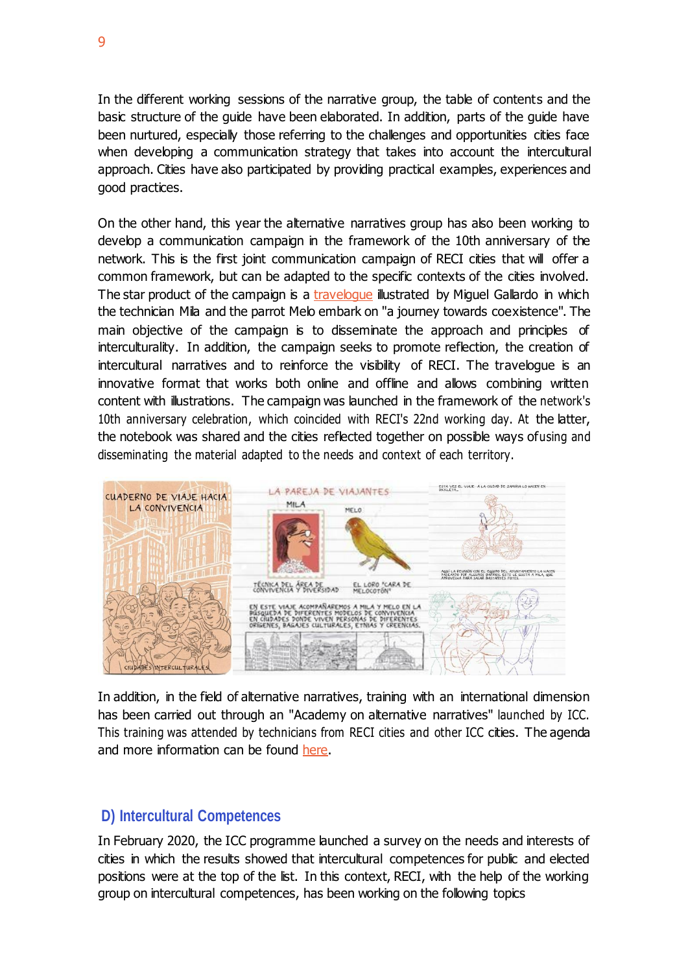In the different working sessions of the narrative group, the table of contents and the basic structure of the guide have been elaborated. In addition, parts of the guide have been nurtured, especially those referring to the challenges and opportunities cities face when developing a communication strategy that takes into account the intercultural approach. Cities have also participated by providing practical examples, experiences and good practices.

On the other hand, this year the alternative narratives group has also been working to develop a communication campaign in the framework of the 10th anniversary of the network. This is the first joint communication campaign of RECI cities that will offer a common framework, but can be adapted to the specific contexts of the cities involved. The star product of the campaign is a [travelogue](https://www.ciudadesinterculturales.com/wp-content/uploads/2021/12/Cuaderno-de-viaje-hacia-las-Ciudades-Interculturales.pdf) illustrated by Miguel Gallardo in which the technician Mila and the parrot Melo embark on "a journey towards coexistence". The main objective of the campaign is to disseminate the approach and principles of interculturality. In addition, the campaign seeks to promote reflection, the creation of intercultural narratives and to reinforce the visibility of RECI. The traveloque is an innovative format that works both online and offline and allows combining written content with illustrations. The campaign was launched in the framework of the network's 10th anniversary celebration, which coincided with RECI's 22nd working day. At the latter, the notebook was shared and the cities reflected together on possible ways ofusing and disseminating the material adapted to the needs and context of each territory.



In addition, in the field of alternative narratives, training with an international dimension has been carried out through an "Academy on alternative narratives" launched by ICC. This training was attended by technicians from RECI cities and other ICC cities. The agenda and more information can be found [here.](https://www.coe.int/en/web/interculturalcities/-/intercultural-academy-for-communicators-what-story-does-your-city-tell-)

### **D) Intercultural Competences**

In February 2020, the ICC programme launched a survey on the needs and interests of cities in which the results showed that intercultural competences for public and elected positions were at the top of the list. In this context, RECI, with the help of the working group on intercultural competences, has been working on the following topics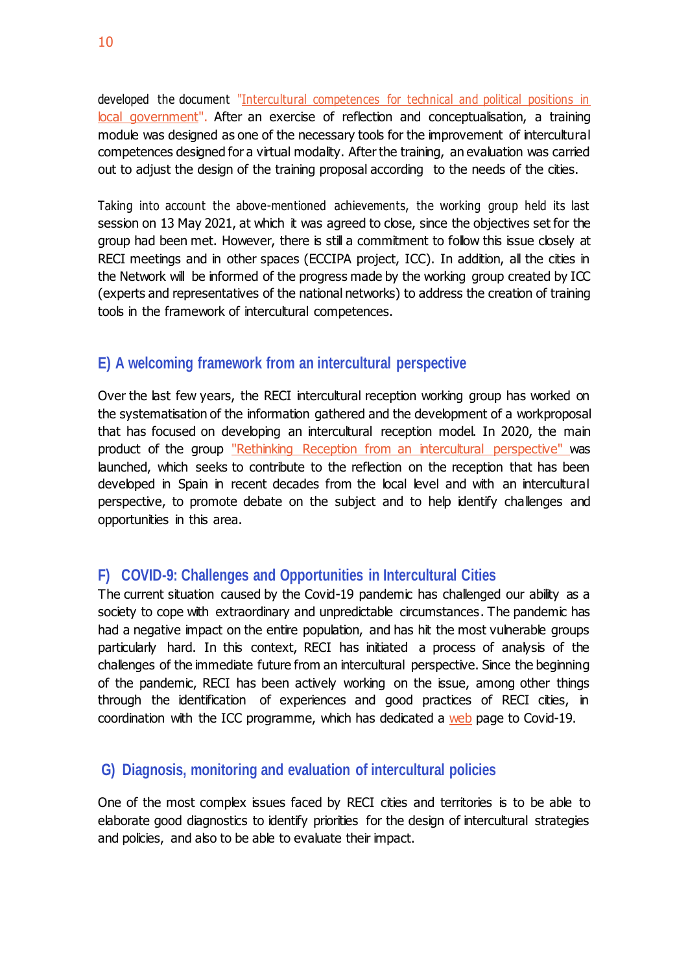developed the document ["Intercultural competences for technical and political positions in](http://www.ciudadesinterculturales.com/wp-content/uploads/2020/11/COMPETENCIAS-INTERCULTURALES_RECI.pdf) [local government"](http://www.ciudadesinterculturales.com/wp-content/uploads/2020/11/COMPETENCIAS-INTERCULTURALES_RECI.pdf). After an exercise of reflection and conceptualisation, a training module was designed as one of the necessary tools for the improvement of intercultural competences designed for a virtual modality. Afterthe training, an evaluation was carried out to adjust the design of the training proposal according to the needs of the cities.

Taking into account the above-mentioned achievements, the working group held its last session on 13 May 2021, at which it was agreed to close, since the objectives set for the group had been met. However, there is still a commitment to follow this issue closely at RECI meetings and in other spaces (ECCIPA project, ICC). In addition, all the cities in the Network will be informed of the progress made by the working group created by ICC (experts and representatives of the national networks) to address the creation of training tools in the framework of intercultural competences.

## **E) A welcoming framework from an intercultural perspective**

Over the last few years, the RECI intercultural reception working group has worked on the systematisation of the information gathered and the development of a workproposal that has focused on developing an intercultural reception model. In 2020, the main product of the group ["Rethinking Reception from an intercultural perspective"](http://www.ciudadesinterculturales.com/wp-content/uploads/2020/12/Repensar-la-Acogida-desde-la-perspectiva-intercultural-1.pdf) was launched, which seeks to contribute to the reflection on the reception that has been developed in Spain in recent decades from the local level and with an intercultural perspective, to promote debate on the subject and to help identify challenges and opportunities in this area.

### **F) COVID-9: Challenges and Opportunities in Intercultural Cities**

The current situation caused by the Covid-19 pandemic has challenged our ability as a society to cope with extraordinary and unpredictable circumstances. The pandemic has had a negative impact on the entire population, and has hit the most vulnerable groups particularly hard. In this context, RECI has initiated a process of analysis of the challenges of the immediate future from an intercultural perspective. Since the beginning of the pandemic, RECI has been actively working on the issue, among other things through the identification of experiences and good practices of RECI cities, in coordination with the ICC programme, which has dedicated a [web](https://www.coe.int/en/web/interculturalcities/covid-19-special-page) page to Covid-19.

### **G) Diagnosis, monitoring and evaluation of intercultural policies**

One of the most complex issues faced by RECI cities and territories is to be able to elaborate good diagnostics to identify priorities for the design of intercultural strategies and policies, and also to be able to evaluate their impact.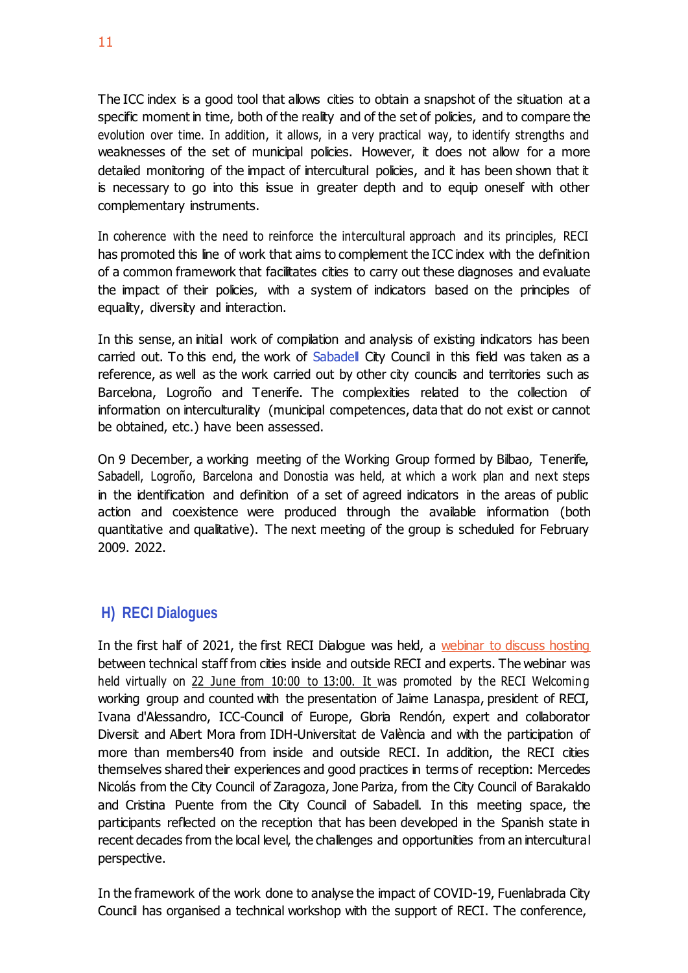The ICC index is a good tool that allows cities to obtain a snapshot of the situation at a specific moment in time, both of the reality and of the set of policies, and to compare the evolution over time. In addition, it allows, in a very practical way, to identify strengths and weaknesses of the set of municipal policies. However, it does not allow for a more detailed monitoring of the impact of intercultural policies, and it has been shown that it is necessary to go into this issue in greater depth and to equip oneself with other complementary instruments.

In coherence with the need to reinforce the intercultural approach and its principles, RECI has promoted this line of work that aims to complement the ICC index with the definition of a common framework that facilitates cities to carry out these diagnoses and evaluate the impact of their policies, with a system of indicators based on the principles of equality, diversity and interaction.

In this sense, an initial work of compilation and analysis of existing indicators has been carried out. To this end, the work of Sabadell City Council in this field was taken as a reference, as well as the work carried out by other city councils and territories such as Barcelona, Logroño and Tenerife. The complexities related to the collection of information on interculturality (municipal competences, data that do not exist or cannot be obtained, etc.) have been assessed.

On 9 December, a working meeting of the Working Group formed by Bilbao, Tenerife, Sabadell, Logroño, Barcelona and Donostia was held, at which a work plan and next steps in the identification and definition of a set of agreed indicators in the areas of public action and coexistence were produced through the available information (both quantitative and qualitative). The next meeting of the group is scheduled for February 2009. 2022.

# **H) RECI Dialogues**

In the first half of 2021, the first RECI Dialogue was held, a webinar to discuss hosting between technical staff from cities inside and outside RECI and experts. The webinar was held virtually on 22 June from 10:00 to 13:00. It was promoted by the RECI Welcoming working group and counted with the presentation of Jaime Lanaspa, president of RECI, Ivana d'Alessandro, ICC-Council of Europe, Gloria Rendón, expert and collaborator Diversit and Albert Mora from IDH-Universitat de València and with the participation of more than members40 from inside and outside RECI. In addition, the RECI cities themselves shared their experiences and good practices in terms of reception: Mercedes Nicolás from the City Council of Zaragoza, Jone Pariza, from the City Council of Barakaldo and Cristina Puente from the City Council of Sabadell. In this meeting space, the participants reflected on the reception that has been developed in the Spanish state in recent decades from the local level, the challenges and opportunities from an intercultural perspective.

In the framework of the work done to analyse the impact of COVID-19, Fuenlabrada City Council has organised a technical workshop with the support of RECI. The conference,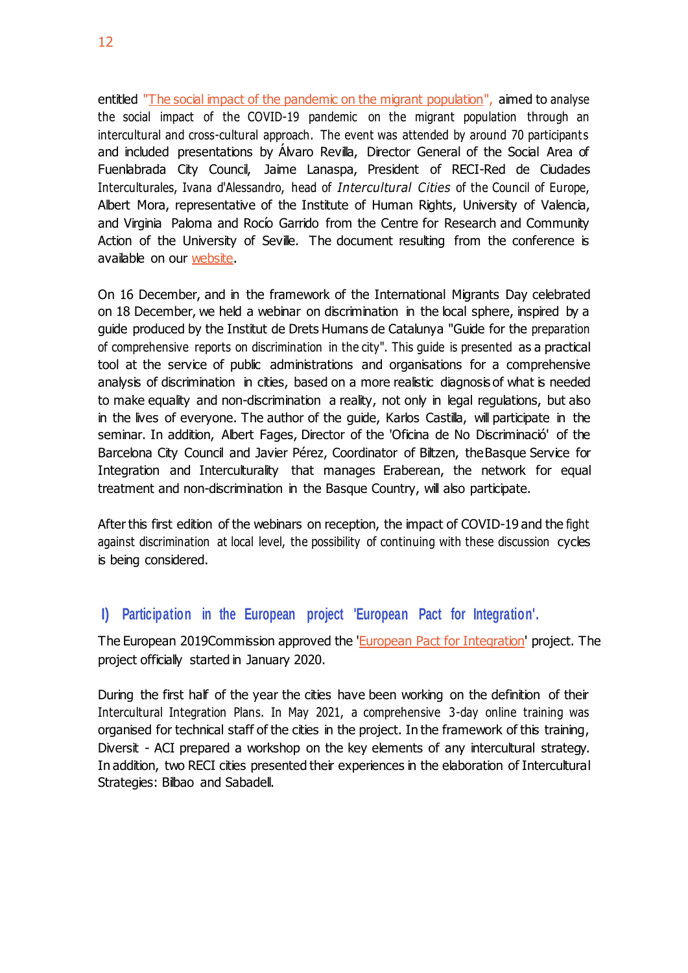entitled ["The social impact of the pandemic on the migrant population"](https://www.ciudadesinterculturales.com/wp-content/uploads/2021/06/DOSIER-3-El-impacto-social-de-la-pandemia-en-la-poblacio%CC%81n-migrante-1.pdf), aimed to analyse the social impact of the COVID-19 pandemic on the migrant population through an intercultural and cross-cultural approach. The event was attended by around 70 participants and included presentations by Álvaro Revilla, Director General of the Social Area of Fuenlabrada City Council, Jaime Lanaspa, President of RECI-Red de Ciudades Interculturales, Ivana d'Alessandro, head of *Intercultural Cities* of the Council of Europe, Albert Mora, representative of the Institute of Human Rights, University of Valencia, and Virginia Paloma and Rocío Garrido from the Centre for Research and Community Action of the University of Seville. The document resulting from the conference is available on our [website.](https://www.ciudadesinterculturales.com/wp-content/uploads/2021/06/DOSIER-3-El-impacto-social-de-la-pandemia-en-la-poblacio%CC%81n-migrante-1.pdf)

On 16 December, and in the framework of the International Migrants Day celebrated on 18 December, we held a webinar on discrimination in the local sphere, inspired by a guide produced by the Institut de Drets Humans de Catalunya "Guide for the preparation of comprehensive reports on discrimination in the city". This guide is presented as a practical tool at the service of public administrations and organisations for a comprehensive analysis of discrimination in cities, based on a more realistic diagnosis of what is needed to make equality and non-discrimination a reality, not only in legal regulations, but also in the lives of everyone. The author of the guide, Karlos Castilla, will participate in the seminar. In addition, Albert Fages, Director of the 'Oficina de No Discriminació' of the Barcelona City Council and Javier Pérez, Coordinator of Biltzen, theBasque Service for Integration and Interculturality that manages Eraberean, the network for equal treatment and non-discrimination in the Basque Country, will also participate.

After this first edition of the webinars on reception, the impact of COVID-19 and the fight against discrimination at local level, the possibility of continuing with these discussion cycles is being considered.

# **I) Participation in the European project 'European Pact for Integration'.**

The European 2019Commission approved the 'European Pact for [Integration'](https://epi-project.com/es/) project. The project officially started in January 2020.

During the first half of the year the cities have been working on the definition of their Intercultural Integration Plans. In May 2021, a comprehensive 3-day online training was organised for technical staff of the cities in the project. In the framework of this training, Diversit - ACI prepared a workshop on the key elements of any intercultural strategy. In addition, two RECI cities presented their experiences in the elaboration of Intercultural Strategies: Bilbao and Sabadell.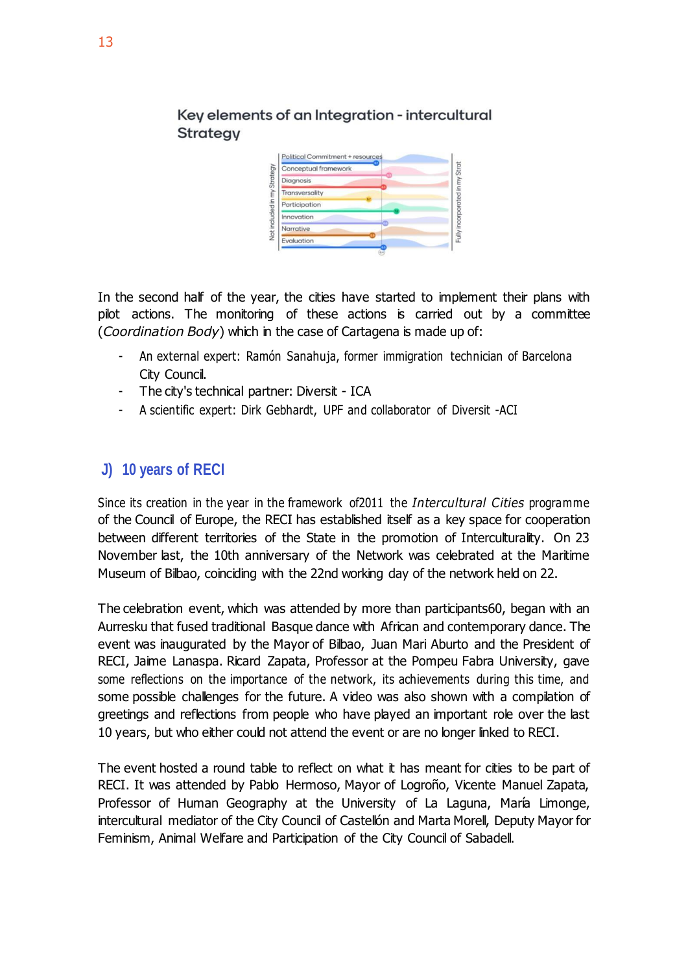

Key elements of an Integration - intercultural **Strategy** 

In the second half of the year, the cities have started to implement their plans with pilot actions. The monitoring of these actions is carried out by a committee (*Coordination Body*) which in the case of Cartagena is made up of:

- An external expert: Ramón Sanahuja, former immigration technician of Barcelona City Council.
- The city's technical partner: Diversit ICA
- A scientific expert: Dirk Gebhardt, UPF and collaborator of Diversit -ACI

# **J) 10 years of RECI**

Since its creation in the year in the framework of2011 the *Intercultural Cities* programme of the Council of Europe, the RECI has established itself as a key space for cooperation between different territories of the State in the promotion of Interculturality. On 23 November last, the 10th anniversary of the Network was celebrated at the Maritime Museum of Bilbao, coinciding with the 22nd working day of the network held on 22.

The celebration event, which was attended by more than participants60, began with an Aurresku that fused traditional Basque dance with African and contemporary dance. The event was inaugurated by the Mayor of Bilbao, Juan Mari Aburto and the President of RECI, Jaime Lanaspa. Ricard Zapata, Professor at the Pompeu Fabra University, gave some reflections on the importance of the network, its achievements during this time, and some possible challenges for the future. A video was also shown with a compilation of greetings and reflections from people who have played an important role over the last 10 years, but who either could not attend the event or are no longer linked to RECI.

The event hosted a round table to reflect on what it has meant for cities to be part of RECI. It was attended by Pablo Hermoso, Mayor of Logroño, Vicente Manuel Zapata, Professor of Human Geography at the University of La Laguna, María Limonge, intercultural mediator of the City Council of Castellón and Marta Morell, Deputy Mayor for Feminism, Animal Welfare and Participation of the City Council of Sabadell.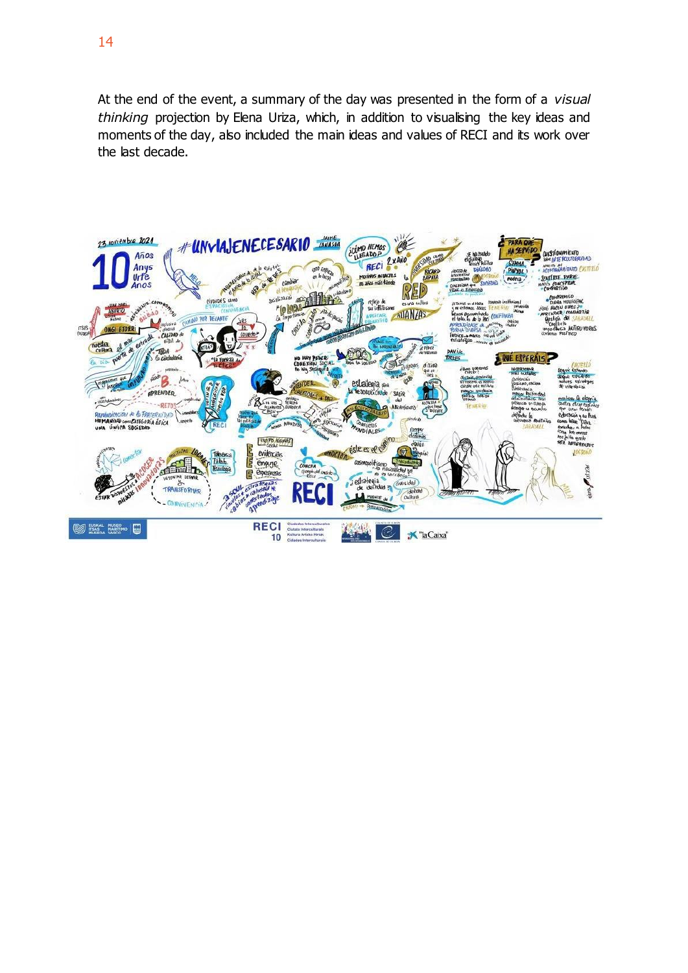At the end of the event, a summary of the day was presented in the form of a *visual thinking* projection by Elena Uriza, which, in addition to visualising the key ideas and moments of the day, also included the main ideas and values of RECI and its work over the last decade.

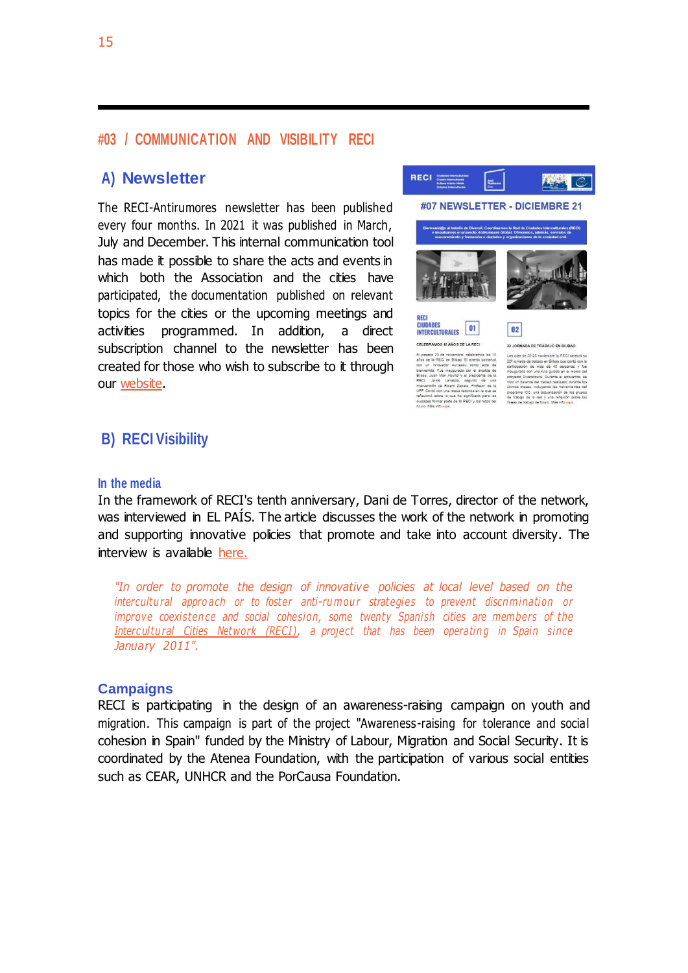### **#03 / COMMUNICATION AND VISIBILITY RECI**

### **A) Newsletter**

The RECI-Antirumores newsletter has been published every four months. In 2021 it was published in March, July and December. This internal communication tool has made it possible to share the acts and events in which both the Association and the cities have participated, the documentation published on relevant topics for the cities or the upcoming meetings and activities programmed. In addition, a direct subscription channel to the newsletter has been created for those who wish to subscribe to it through our [website.](https://ciudadesinterculturales.us4.list-manage.com/subscribe?u=ae6962af998265a0b35b799b8&id=6171a08efb)



# **B) RECI Visibility**

#### **In the media**

In the framework of RECI's tenth anniversary, Dani de Torres, director of the network, was interviewed in EL PAIS. The article discusses the work of the network in promoting and supporting innovative policies that promote and take into account diversity. The interview is available [here.](https://elpais.com/elpais/2021/02/08/seres_urbanos/1612795837_628308.html?ssm=whatsapp)

*"In order to promote the design of innovative policies at local level based on the intercultural appro ach or to foster anti-rumour strategies to prevent discrimination or improve coexistence and social cohesion, some twenty Spanish cities are members of the Intercultural Cities Network (RECI)*, a project that has been operating in Spain since *January 2011".*

### **Campaigns**

RECI is participating in the design of an awareness-raising campaign on youth and migration. This campaign is part of the project "Awareness-raising for tolerance and social cohesion in Spain" funded by the Ministry of Labour, Migration and Social Security. It is coordinated by the Atenea Foundation, with the participation of various social entities such as CEAR, UNHCR and the PorCausa Foundation.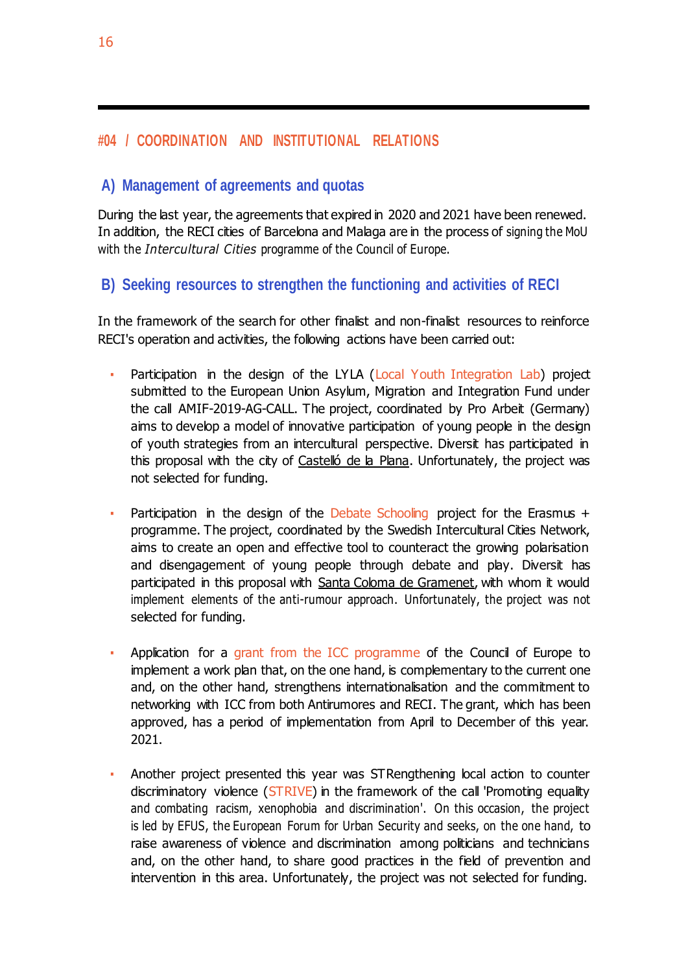# **#04 / COORDINATION AND INSTITUTIONAL RELATIONS**

### **A) Management of agreements and quotas**

During the last year, the agreements that expired in 2020 and 2021 have been renewed. In addition, the RECI cities of Barcelona and Malaga are in the process of signing the MoU with the *Intercultural Cities* programme of the Council of Europe.

### **B) Seeking resources to strengthen the functioning and activities of RECI**

In the framework of the search for other finalist and non-finalist resources to reinforce RECI's operation and activities, the following actions have been carried out:

- Participation in the design of the LYLA (Local Youth Integration Lab) project submitted to the European Union Asylum, Migration and Integration Fund under the call AMIF-2019-AG-CALL. The project, coordinated by Pro Arbeit (Germany) aims to develop a model of innovative participation of young people in the design of youth strategies from an intercultural perspective. Diversit has participated in this proposal with the city of Castelló de la Plana. Unfortunately, the project was not selected for funding.
- Participation in the design of the Debate Schooling project for the Erasmus  $+$ programme. The project, coordinated by the Swedish Intercultural Cities Network, aims to create an open and effective tool to counteract the growing polarisation and disengagement of young people through debate and play. Diversit has participated in this proposal with Santa Coloma de Gramenet, with whom it would implement elements of the anti-rumour approach. Unfortunately, the project was not selected for funding.
- Application for a grant from the ICC programme of the Council of Europe to implement a work plan that, on the one hand, is complementary to the current one and, on the other hand, strengthens internationalisation and the commitment to networking with ICC from both Antirumores and RECI. The grant, which has been approved, has a period of implementation from April to December of this year. 2021.
- Another project presented this year was STRengthening local action to counter discriminatory violence (STRIVE) in the framework of the call 'Promoting equality and combating racism, xenophobia and discrimination'. On this occasion, the project is led by EFUS, the European Forum for Urban Security and seeks, on the one hand, to raise awareness of violence and discrimination among politicians and technicians and, on the other hand, to share good practices in the field of prevention and intervention in this area. Unfortunately, the project was not selected for funding.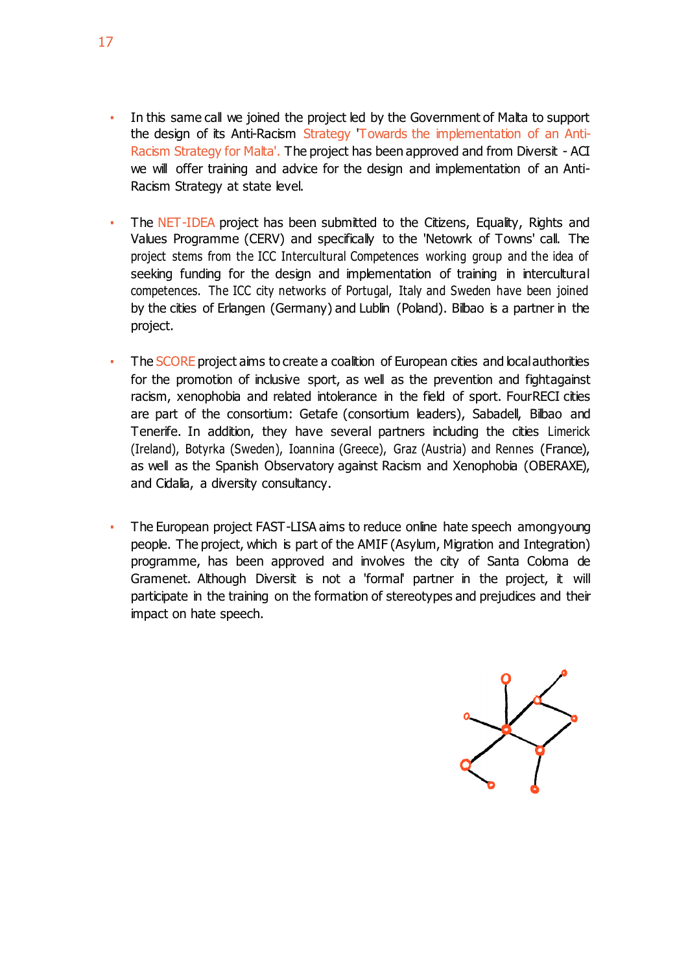- In this same call we joined the project led by the Government of Malta to support the design of its Anti-Racism Strategy Towards the implementation of an Anti-Racism Strategy for Malta'. The project has been approved and from Diversit - ACI we will offer training and advice for the design and implementation of an Anti-Racism Strategy at state level.
- **·** The NET-IDEA project has been submitted to the Citizens, Equality, Rights and Values Programme (CERV) and specifically to the 'Netowrk of Towns' call. The project stems from the ICC Intercultural Competences working group and the idea of seeking funding for the design and implementation of training in intercultural competences. The ICC city networks of Portugal, Italy and Sweden have been joined by the cities of Erlangen (Germany) and Lublin (Poland). Bilbao is a partner in the project.
- The SCORE project aims to create a coalition of European cities and local authorities for the promotion of inclusive sport, as well as the prevention and fightagainst racism, xenophobia and related intolerance in the field of sport. FourRECI cities are part of the consortium: Getafe (consortium leaders), Sabadell, Bilbao and Tenerife. In addition, they have several partners including the cities Limerick (Ireland), Botyrka (Sweden), Ioannina (Greece), Graz (Austria) and Rennes (France), as well as the Spanish Observatory against Racism and Xenophobia (OBERAXE), and Cidalia, a diversity consultancy.
- **The European project FAST-LISA aims to reduce online hate speech amongyoung** people. The project, which is part of the AMIF (Asylum, Migration and Integration) programme, has been approved and involves the city of Santa Coloma de Gramenet. Although Diversit is not a 'formal' partner in the project, it will participate in the training on the formation of stereotypes and prejudices and their impact on hate speech.

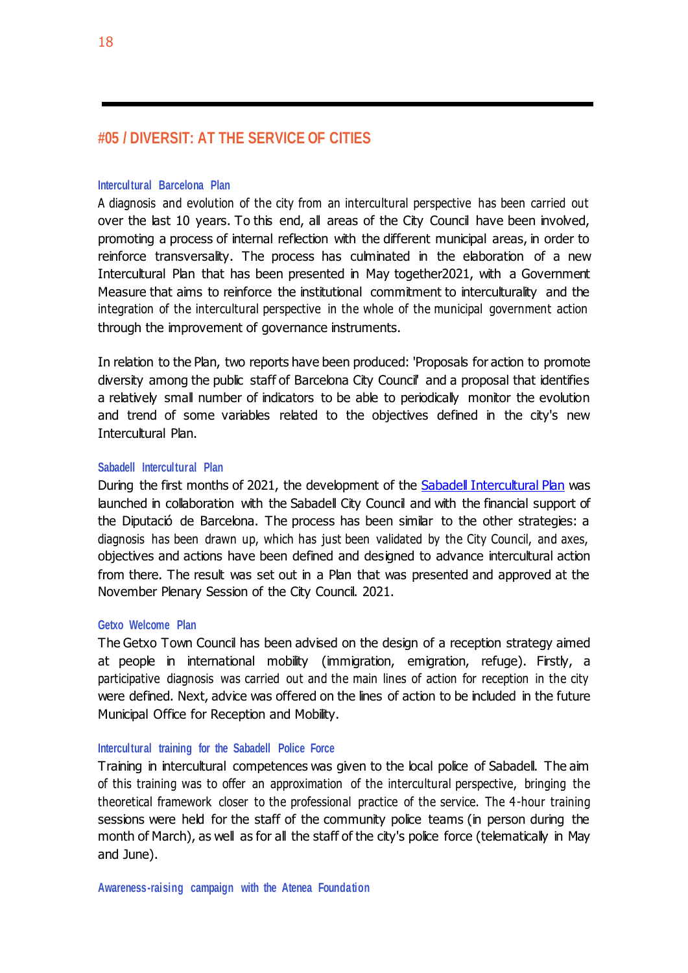### **#05 / DIVERSIT: AT THE SERVICE OF CITIES**

#### **Intercultural Barcelona Plan**

A diagnosis and evolution of the city from an intercultural perspective has been carried out over the last 10 years. To this end, all areas of the City Council have been involved, promoting a process of internal reflection with the different municipal areas, in order to reinforce transversality. The process has culminated in the elaboration of a new Intercultural Plan that has been presented in May together2021, with a Government Measure that aims to reinforce the institutional commitment to interculturality and the integration of the intercultural perspective in the whole of the municipal government action through the improvement of governance instruments.

In relation to the Plan, two reports have been produced: 'Proposals for action to promote diversity among the public staff of Barcelona City Council' and a proposal that identifies a relatively small number of indicators to be able to periodically monitor the evolution and trend of some variables related to the objectives defined in the city's new Intercultural Plan.

#### **Sabadell Intercultural Plan**

During the first months of 2021, the development of the **Sabadell [Intercultural](https://web.sabadell.cat/images/DretsCivils/2021_Pla_Intercultural_Sabadell.pdf) [Plan](https://web.sabadell.cat/images/DretsCivils/2021_Pla_Intercultural_Sabadell.pdf)** was launched in collaboration with the Sabadell City Council and with the financial support of the Diputació de Barcelona. The process has been similar to the other strategies: a diagnosis has been drawn up, which has just been validated by the City Council, and axes, objectives and actions have been defined and designed to advance intercultural action from there. The result was set out in a Plan that was presented and approved at the November Plenary Session of the City Council. 2021.

#### **Getxo Welcome Plan**

The Getxo Town Council has been advised on the design of a reception strategy aimed at people in international mobility (immigration, emigration, refuge). Firstly, a participative diagnosis was carried out and the main lines of action for reception in the city were defined. Next, advice was offered on the lines of action to be included in the future Municipal Office for Reception and Mobility.

#### **Intercultural training for the Sabadell Police Force**

Training in intercultural competences was given to the local police of Sabadell. The aim of this training was to offer an approximation of the intercultural perspective, bringing the theoretical framework closer to the professional practice of the service. The 4-hour training sessions were held for the staff of the community police teams (in person during the month of March), as well as for all the staff of the city's police force (telematically in May and June).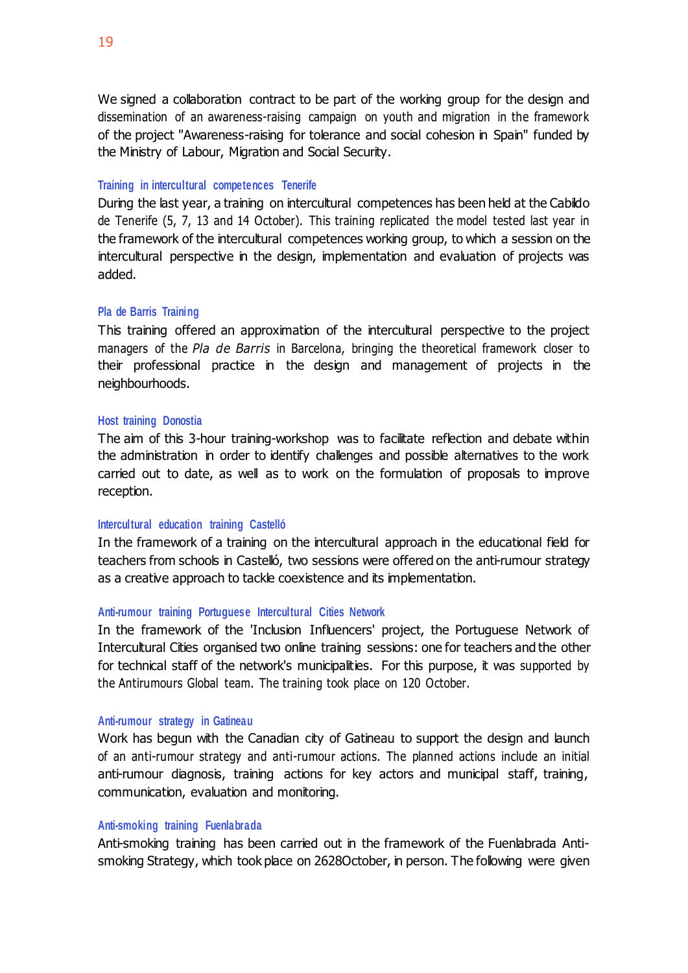We signed a collaboration contract to be part of the working group for the design and dissemination of an awareness-raising campaign on youth and migration in the framework of the project "Awareness-raising for tolerance and social cohesion in Spain" funded by the Ministry of Labour, Migration and Social Security.

### **Training in intercultural competences Tenerife**

During the last year, a training on intercultural competences has been held at the Cabildo de Tenerife (5, 7, 13 and 14 October). This training replicated the model tested last year in the framework of the intercultural competences working group, to which a session on the intercultural perspective in the design, implementation and evaluation of projects was added.

### **Pla de Barris Training**

This training offered an approximation of the intercultural perspective to the project managers of the *Pla de Barris* in Barcelona, bringing the theoretical framework closer to their professional practice in the design and management of projects in the neighbourhoods.

### **Host training Donostia**

The aim of this 3-hour training-workshop was to facilitate reflection and debate within the administration in order to identify challenges and possible alternatives to the work carried out to date, as well as to work on the formulation of proposals to improve reception.

### **Intercultural education training Castelló**

In the framework of a training on the intercultural approach in the educational field for teachers from schools in Castelló, two sessions were offered on the anti-rumour strategy as a creative approach to tackle coexistence and its implementation.

### **Anti-rumour training Portuguese Intercultural Cities Network**

In the framework of the 'Inclusion Influencers' project, the Portuguese Network of Intercultural Cities organised two online training sessions: one for teachers and the other for technical staff of the network's municipalities. For this purpose, it was supported by the Antirumours Global team. The training took place on 120 October.

### **Anti-rumour strategy in Gatineau**

Work has begun with the Canadian city of Gatineau to support the design and launch of an anti-rumour strategy and anti-rumour actions. The planned actions include an initial anti-rumour diagnosis, training actions for key actors and municipal staff, training, communication, evaluation and monitoring.

### **Anti-smoking training Fuenlabrada**

Anti-smoking training has been carried out in the framework of the Fuenlabrada Antismoking Strategy, which took place on 2628October, in person. The following were given